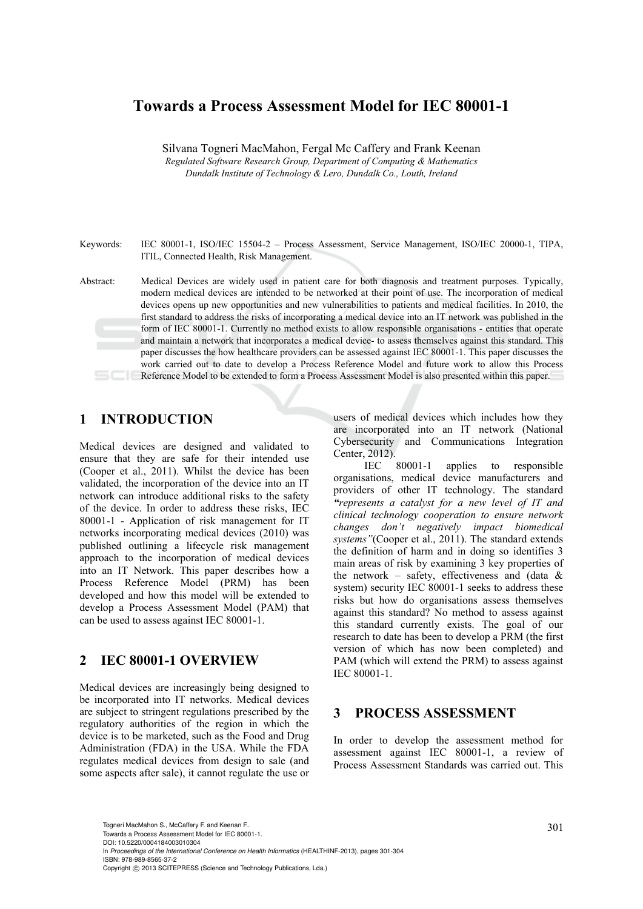# **Towards a Process Assessment Model for IEC 80001-1**

Silvana Togneri MacMahon, Fergal Mc Caffery and Frank Keenan *Regulated Software Research Group, Department of Computing & Mathematics Dundalk Institute of Technology & Lero, Dundalk Co., Louth, Ireland* 

Keywords: IEC 80001-1, ISO/IEC 15504-2 – Process Assessment, Service Management, ISO/IEC 20000-1, TIPA, ITIL, Connected Health, Risk Management.

## **1 INTRODUCTION**

Medical devices are designed and validated to ensure that they are safe for their intended use (Cooper et al., 2011). Whilst the device has been validated, the incorporation of the device into an IT network can introduce additional risks to the safety of the device. In order to address these risks, IEC 80001-1 - Application of risk management for IT networks incorporating medical devices (2010) was published outlining a lifecycle risk management approach to the incorporation of medical devices into an IT Network. This paper describes how a Process Reference Model (PRM) has been developed and how this model will be extended to develop a Process Assessment Model (PAM) that can be used to assess against IEC 80001-1.

## **2 IEC 80001-1 OVERVIEW**

Medical devices are increasingly being designed to be incorporated into IT networks. Medical devices are subject to stringent regulations prescribed by the regulatory authorities of the region in which the device is to be marketed, such as the Food and Drug Administration (FDA) in the USA. While the FDA regulates medical devices from design to sale (and some aspects after sale), it cannot regulate the use or

users of medical devices which includes how they are incorporated into an IT network (National Cybersecurity and Communications Integration Center, 2012).

IEC 80001-1 applies to responsible organisations, medical device manufacturers and providers of other IT technology. The standard *"represents a catalyst for a new level of IT and clinical technology cooperation to ensure network changes don't negatively impact biomedical systems"*(Cooper et al., 2011). The standard extends the definition of harm and in doing so identifies 3 main areas of risk by examining 3 key properties of the network – safety, effectiveness and (data  $\&$ system) security IEC 80001-1 seeks to address these risks but how do organisations assess themselves against this standard? No method to assess against this standard currently exists. The goal of our research to date has been to develop a PRM (the first version of which has now been completed) and PAM (which will extend the PRM) to assess against IEC 80001-1.

## **3 PROCESS ASSESSMENT**

In order to develop the assessment method for assessment against IEC 80001-1, a review of Process Assessment Standards was carried out. This

301 Togneri MacMahon S., McCaffery F. and Keenan F.. Towards a Process Assessment Model for IEC 80001-1. DOI: 10.5220/0004184003010304

In *Proceedings of the International Conference on Health Informatics* (HEALTHINF-2013), pages 301-304 ISBN: 978-989-8565-37-2

Abstract: Medical Devices are widely used in patient care for both diagnosis and treatment purposes. Typically, modern medical devices are intended to be networked at their point of use. The incorporation of medical devices opens up new opportunities and new vulnerabilities to patients and medical facilities. In 2010, the first standard to address the risks of incorporating a medical device into an IT network was published in the form of IEC 80001-1. Currently no method exists to allow responsible organisations - entities that operate and maintain a network that incorporates a medical device- to assess themselves against this standard. This paper discusses the how healthcare providers can be assessed against IEC 80001-1. This paper discusses the work carried out to date to develop a Process Reference Model and future work to allow this Process Reference Model to be extended to form a Process Assessment Model is also presented within this paper.

Copyright © 2013 SCITEPRESS (Science and Technology Publications, Lda.)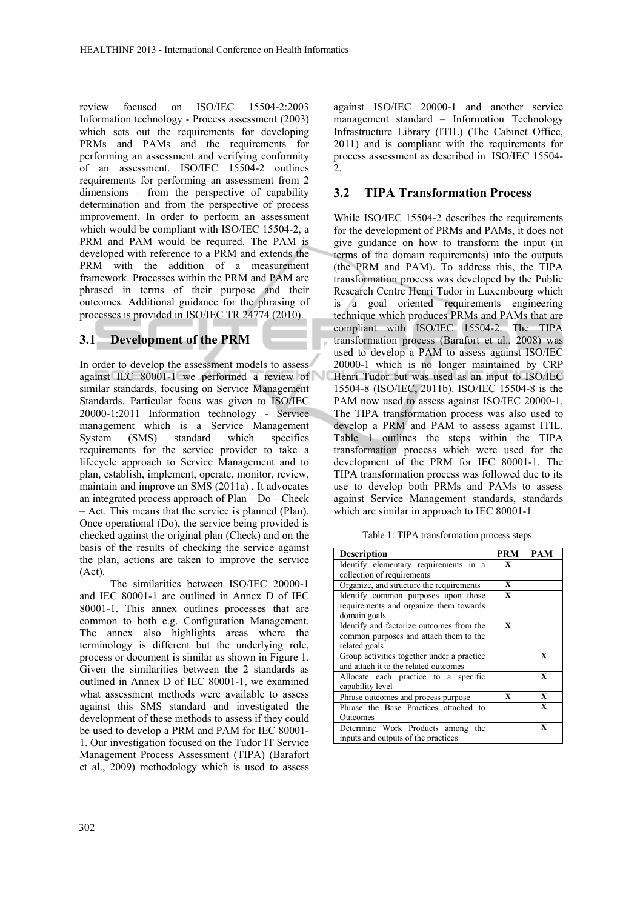review focused on ISO/IEC 15504-2:2003 Information technology - Process assessment (2003) which sets out the requirements for developing PRMs and PAMs and the requirements for performing an assessment and verifying conformity of an assessment. ISO/IEC 15504-2 outlines requirements for performing an assessment from 2 dimensions – from the perspective of capability determination and from the perspective of process improvement. In order to perform an assessment which would be compliant with ISO/IEC 15504-2, a PRM and PAM would be required. The PAM is developed with reference to a PRM and extends the PRM with the addition of a measurement framework. Processes within the PRM and PAM are phrased in terms of their purpose and their outcomes. Additional guidance for the phrasing of processes is provided in ISO/IEC TR 24774 (2010).

## **3.1 Development of the PRM**

In order to develop the assessment models to assess against IEC 80001-1 we performed a review of similar standards, focusing on Service Management Standards. Particular focus was given to ISO/IEC 20000-1:2011 Information technology - Service management which is a Service Management System (SMS) standard which specifies requirements for the service provider to take a lifecycle approach to Service Management and to plan, establish, implement, operate, monitor, review, maintain and improve an SMS (2011a) . It advocates an integrated process approach of Plan – Do – Check – Act. This means that the service is planned (Plan). Once operational (Do), the service being provided is checked against the original plan (Check) and on the basis of the results of checking the service against the plan, actions are taken to improve the service (Act).

 The similarities between ISO/IEC 20000-1 and IEC 80001-1 are outlined in Annex D of IEC 80001-1. This annex outlines processes that are common to both e.g. Configuration Management. The annex also highlights areas where the terminology is different but the underlying role, process or document is similar as shown in Figure 1. Given the similarities between the 2 standards as outlined in Annex D of IEC 80001-1, we examined what assessment methods were available to assess against this SMS standard and investigated the development of these methods to assess if they could be used to develop a PRM and PAM for IEC 80001- 1. Our investigation focused on the Tudor IT Service Management Process Assessment (TIPA) (Barafort et al., 2009) methodology which is used to assess

against ISO/IEC 20000-1 and another service management standard – Information Technology Infrastructure Library (ITIL) (The Cabinet Office, 2011) and is compliant with the requirements for process assessment as described in ISO/IEC 15504-  $\mathcal{L}$ 

## **3.2 TIPA Transformation Process**

While ISO/IEC 15504-2 describes the requirements for the development of PRMs and PAMs, it does not give guidance on how to transform the input (in terms of the domain requirements) into the outputs (the PRM and PAM). To address this, the TIPA transformation process was developed by the Public Research Centre Henri Tudor in Luxembourg which is a goal oriented requirements engineering technique which produces PRMs and PAMs that are compliant with ISO/IEC 15504-2. The TIPA transformation process (Barafort et al., 2008) was used to develop a PAM to assess against ISO/IEC 20000-1 which is no longer maintained by CRP Henri Tudor but was used as an input to ISO/IEC 15504-8 (ISO/IEC, 2011b). ISO/IEC 15504-8 is the PAM now used to assess against ISO/IEC 20000-1. The TIPA transformation process was also used to develop a PRM and PAM to assess against ITIL. Table 1 outlines the steps within the TIPA transformation process which were used for the development of the PRM for IEC 80001-1. The TIPA transformation process was followed due to its use to develop both PRMs and PAMs to assess against Service Management standards, standards which are similar in approach to IEC 80001-1.

Table 1: TIPA transformation process steps.

| <b>Description</b>                                                                                  | <b>PRM</b>   | <b>PAM</b>  |
|-----------------------------------------------------------------------------------------------------|--------------|-------------|
| Identify elementary requirements in a                                                               | X            |             |
| collection of requirements                                                                          |              |             |
| Organize, and structure the requirements                                                            | X            |             |
| Identify common purposes upon those<br>requirements and organize them towards                       | $\mathbf{x}$ |             |
| domain goals                                                                                        |              |             |
| Identify and factorize outcomes from the<br>common purposes and attach them to the<br>related goals | $\mathbf{x}$ |             |
| Group activities together under a practice<br>and attach it to the related outcomes                 |              | X           |
| Allocate each practice to a specific<br>capability level                                            |              | X           |
| Phrase outcomes and process purpose                                                                 | X            | X           |
| Phrase the Base Practices attached to<br>Outcomes                                                   |              | X           |
| Determine Work Products among<br>the<br>inputs and outputs of the practices                         |              | $\mathbf x$ |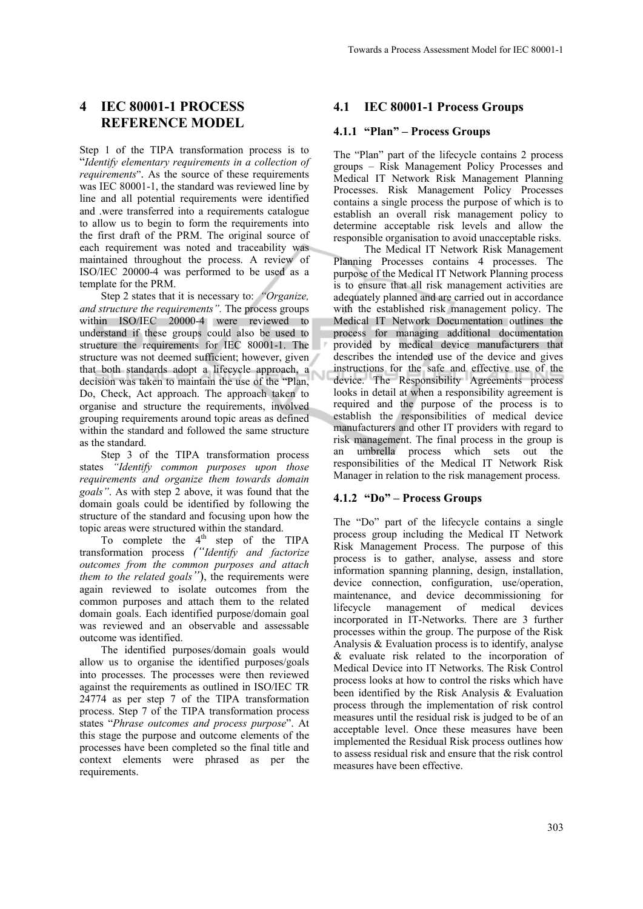# **4 IEC 80001-1 PROCESS REFERENCE MODEL**

Step 1 of the TIPA transformation process is to "*Identify elementary requirements in a collection of requirements*". As the source of these requirements was IEC 80001-1, the standard was reviewed line by line and all potential requirements were identified and .were transferred into a requirements catalogue to allow us to begin to form the requirements into the first draft of the PRM. The original source of each requirement was noted and traceability was maintained throughout the process. A review of ISO/IEC 20000-4 was performed to be used as a template for the PRM.

Step 2 states that it is necessary to: *"Organize, and structure the requirements".* The process groups within ISO/IEC 20000-4 were reviewed to understand if these groups could also be used to structure the requirements for IEC 80001-1. The structure was not deemed sufficient; however, given that both standards adopt a lifecycle approach, a decision was taken to maintain the use of the "Plan, Do, Check, Act approach. The approach taken to organise and structure the requirements, involved grouping requirements around topic areas as defined within the standard and followed the same structure as the standard.

Step 3 of the TIPA transformation process states *"Identify common purposes upon those requirements and organize them towards domain goals"*. As with step 2 above, it was found that the domain goals could be identified by following the structure of the standard and focusing upon how the topic areas were structured within the standard.

To complete the  $4<sup>th</sup>$  step of the TIPA transformation process *("Identify and factorize outcomes from the common purposes and attach them to the related goals"*), the requirements were again reviewed to isolate outcomes from the common purposes and attach them to the related domain goals. Each identified purpose/domain goal was reviewed and an observable and assessable outcome was identified.

The identified purposes/domain goals would allow us to organise the identified purposes/goals into processes. The processes were then reviewed against the requirements as outlined in ISO/IEC TR 24774 as per step 7 of the TIPA transformation process. Step 7 of the TIPA transformation process states "*Phrase outcomes and process purpose*". At this stage the purpose and outcome elements of the processes have been completed so the final title and context elements were phrased as per the requirements.

## **4.1 IEC 80001-1 Process Groups**

#### **4.1.1 "Plan" – Process Groups**

The "Plan" part of the lifecycle contains 2 process groups – Risk Management Policy Processes and Medical IT Network Risk Management Planning Processes. Risk Management Policy Processes contains a single process the purpose of which is to establish an overall risk management policy to determine acceptable risk levels and allow the responsible organisation to avoid unacceptable risks.

The Medical IT Network Risk Management Planning Processes contains 4 processes. The purpose of the Medical IT Network Planning process is to ensure that all risk management activities are adequately planned and are carried out in accordance with the established risk management policy. The Medical IT Network Documentation outlines the process for managing additional documentation provided by medical device manufacturers that describes the intended use of the device and gives instructions for the safe and effective use of the device. The Responsibility Agreements process looks in detail at when a responsibility agreement is required and the purpose of the process is to establish the responsibilities of medical device manufacturers and other IT providers with regard to risk management. The final process in the group is an umbrella process which sets out the responsibilities of the Medical IT Network Risk Manager in relation to the risk management process.

#### **4.1.2 "Do" – Process Groups**

The "Do" part of the lifecycle contains a single process group including the Medical IT Network Risk Management Process. The purpose of this process is to gather, analyse, assess and store information spanning planning, design, installation, device connection, configuration, use/operation, maintenance, and device decommissioning for lifecycle management of medical devices incorporated in IT-Networks. There are 3 further processes within the group. The purpose of the Risk Analysis & Evaluation process is to identify, analyse & evaluate risk related to the incorporation of Medical Device into IT Networks. The Risk Control process looks at how to control the risks which have been identified by the Risk Analysis & Evaluation process through the implementation of risk control measures until the residual risk is judged to be of an acceptable level. Once these measures have been implemented the Residual Risk process outlines how to assess residual risk and ensure that the risk control measures have been effective.